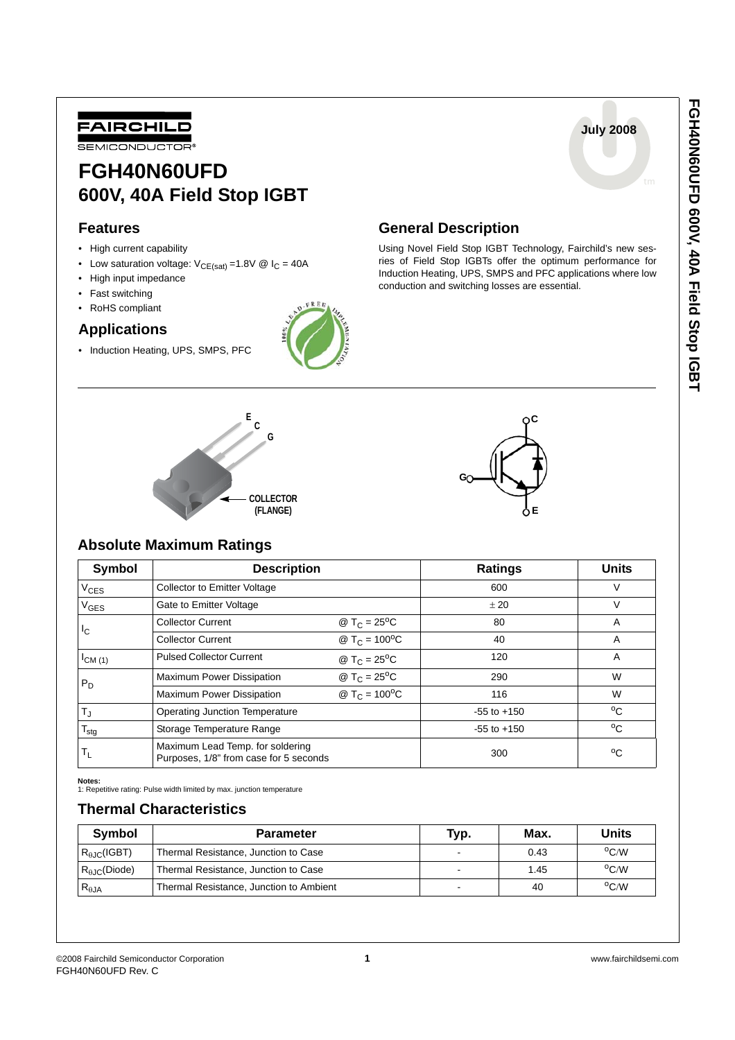**July 2008**



# **FGH40N60UFD 600V, 40A Field Stop IGBT**

### **Features**

- High current capability
- Low saturation voltage:  $V_{CE(sat)} = 1.8V \circledR I_C = 40A$
- High input impedance
- Fast switching
- RoHS compliant

### **Applications**

• Induction Heating, UPS, SMPS, PFC



## **General Description**

Using Novel Field Stop IGBT Technology, Fairchild's new sesries of Field Stop IGBTs offer the optimum performance for Induction Heating, UPS, SMPS and PFC applications where low conduction and switching losses are essential.





#### **Absolute Maximum Ratings**

| Symbol           | <b>Description</b>                                                         | <b>Ratings</b>                       | <b>Units</b>    |    |
|------------------|----------------------------------------------------------------------------|--------------------------------------|-----------------|----|
| V <sub>CES</sub> | <b>Collector to Emitter Voltage</b>                                        |                                      | 600             | V  |
| V <sub>GES</sub> | Gate to Emitter Voltage                                                    | ± 20                                 | V               |    |
| Iс               | <b>Collector Current</b>                                                   | @ T <sub>C</sub> = $25^{\circ}$ C    | 80              | A  |
|                  | <b>Collector Current</b>                                                   | @ $T_C = 100^{\circ}C$               | 40              | A  |
| $I_{CM(1)}$      | <b>Pulsed Collector Current</b>                                            | @ T <sub>C</sub> = 25 <sup>o</sup> C | 120             | A  |
| $P_D$            | Maximum Power Dissipation                                                  | @ T <sub>C</sub> = $25^{\circ}$ C    | 290             | W  |
|                  | <b>Maximum Power Dissipation</b>                                           | @ T <sub>C</sub> = $100^{\circ}$ C   | 116             | W  |
| $T_{\text{J}}$   | <b>Operating Junction Temperature</b>                                      |                                      | $-55$ to $+150$ | °C |
| $T_{\text{stg}}$ | Storage Temperature Range                                                  |                                      | $-55$ to $+150$ | °C |
| T <sub>L</sub>   | Maximum Lead Temp. for soldering<br>Purposes, 1/8" from case for 5 seconds |                                      | 300             | °C |

**Notes:**

1: Repetitive rating: Pulse width limited by max. junction temperature

### **Thermal Characteristics**

| <b>Symbol</b>                | <b>Parameter</b>                        | Typ. | Max. | Units          |
|------------------------------|-----------------------------------------|------|------|----------------|
| $R_{\theta\text{JC}}$ (IGBT) | Thermal Resistance, Junction to Case    |      | 0.43 | $^{\circ}$ C/W |
| $R_{A,IC}$ (Diode)           | Thermal Resistance, Junction to Case    |      | 1.45 | $\rm ^{o}C/W$  |
| $R_{\theta$ JA               | Thermal Resistance, Junction to Ambient | $-$  | 40   | $\rm ^{o}C/W$  |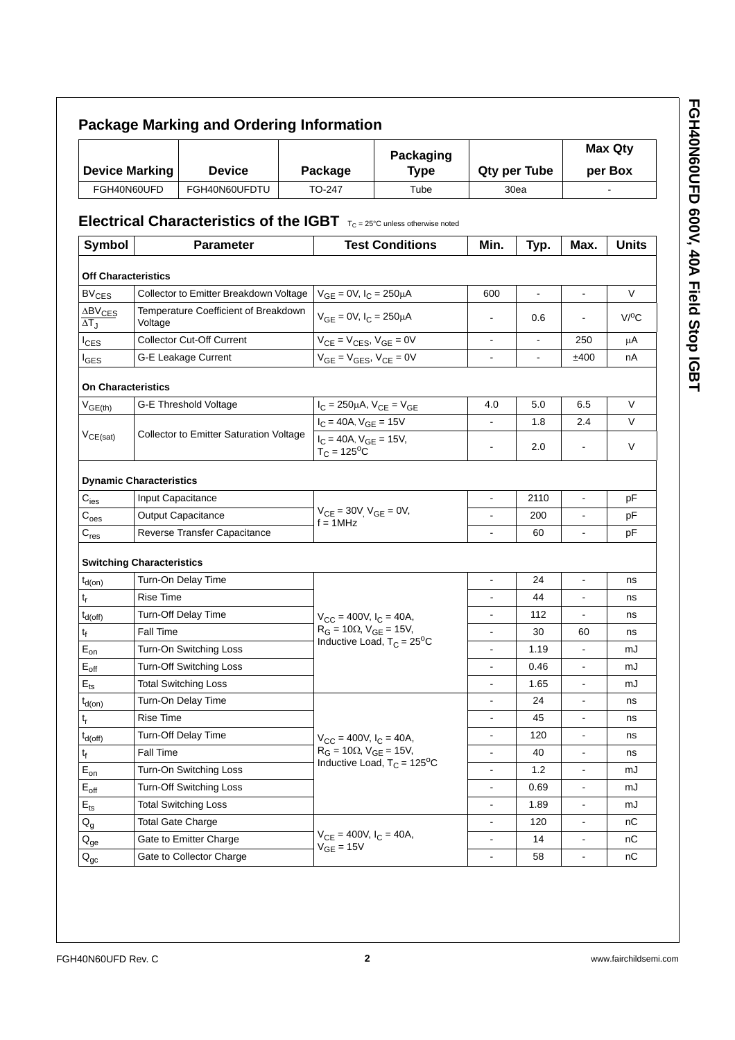|                                                 | <b>Device Marking</b><br><b>Device</b><br>FGH40N60UFD<br>FGH40N60UFDTU                                         |                                                                                | Packaging<br>Package<br><b>Type</b>                            |                                       | <b>Qty per Tube</b>                        |                          | <b>Max Qty</b><br>per Box |                          |           |
|-------------------------------------------------|----------------------------------------------------------------------------------------------------------------|--------------------------------------------------------------------------------|----------------------------------------------------------------|---------------------------------------|--------------------------------------------|--------------------------|---------------------------|--------------------------|-----------|
|                                                 |                                                                                                                |                                                                                | TO-247                                                         | Tube                                  |                                            | 30ea                     |                           |                          |           |
|                                                 |                                                                                                                |                                                                                |                                                                |                                       |                                            |                          |                           |                          |           |
| Symbol                                          | <b>Electrical Characteristics of the IGBT</b> $T_{C} = 25^{\circ}C$ unless otherwise noted<br><b>Parameter</b> |                                                                                |                                                                | <b>Test Conditions</b>                | Min.<br>Typ.                               |                          | Max.                      | <b>Units</b>             |           |
| <b>Off Characteristics</b>                      |                                                                                                                |                                                                                |                                                                |                                       |                                            |                          |                           |                          |           |
| <b>BV<sub>CES</sub></b>                         |                                                                                                                | Collector to Emitter Breakdown Voltage                                         |                                                                | $V_{GE} = 0V$ , $I_C = 250 \mu A$     |                                            | 600                      | $\mathbf{r}$              | $\mathbf{r}$             | V         |
| $\Delta BV_{CES}$<br>$\overline{\Delta T_J}$    | Voltage                                                                                                        | Temperature Coefficient of Breakdown                                           |                                                                | $V_{GE} = 0V$ , $I_C = 250 \mu A$     |                                            |                          | 0.6                       |                          | $V$ / $C$ |
| $I_{CES}$                                       |                                                                                                                | <b>Collector Cut-Off Current</b>                                               |                                                                | $V_{CE} = V_{CES}$ , $V_{GE} = 0V$    |                                            | $\overline{a}$           |                           | 250                      | μA        |
| $I_{GES}$                                       |                                                                                                                | G-E Leakage Current                                                            |                                                                | $V_{GE} = V_{GES}$ , $V_{CE} = 0V$    |                                            | ä,                       | $\blacksquare$            | ±400                     | nA        |
| <b>On Characteristics</b>                       |                                                                                                                |                                                                                |                                                                |                                       |                                            |                          |                           |                          |           |
| $V_{GE(th)}$                                    |                                                                                                                | <b>G-E Threshold Voltage</b>                                                   |                                                                | $I_C = 250 \mu A$ , $V_{CE} = V_{GE}$ |                                            | 4.0                      | 5.0                       | 6.5                      | $\vee$    |
|                                                 | <b>Collector to Emitter Saturation Voltage</b>                                                                 |                                                                                | $I_C = 40A$ , $V_{GE} = 15V$                                   |                                       |                                            | 1.8                      | 2.4                       | V                        |           |
| $V_{CE(sat)}$                                   |                                                                                                                |                                                                                | $I_C = 40A$ , $V_{GE} = 15V$ ,<br>$T_{C} = 125$ <sup>o</sup> C |                                       | $\overline{\phantom{a}}$                   | 2.0                      | $\overline{\phantom{a}}$  | V                        |           |
| <b>Dynamic Characteristics</b>                  |                                                                                                                |                                                                                |                                                                |                                       |                                            |                          |                           |                          |           |
| $C_{\text{ies}}$                                |                                                                                                                | Input Capacitance<br><b>Output Capacitance</b><br>Reverse Transfer Capacitance |                                                                |                                       |                                            | $\blacksquare$           | 2110                      | $\blacksquare$           | pF        |
| $C_{\text{oes}}$                                |                                                                                                                |                                                                                |                                                                |                                       | $V_{CE} = 30V$ , $V_{GE} = 0V$ ,           |                          | 200                       | $\mathbf{r}$             | рF        |
| $\mathsf{C}_{\mathsf{res}}$                     |                                                                                                                |                                                                                |                                                                | $f = 1$ MHz                           |                                            | $\blacksquare$           | 60                        | $\blacksquare$           | рF        |
|                                                 |                                                                                                                |                                                                                |                                                                |                                       |                                            |                          |                           |                          |           |
| <b>Switching Characteristics</b><br>$t_{d(on)}$ |                                                                                                                | Turn-On Delay Time                                                             |                                                                |                                       |                                            | $\blacksquare$           | 24                        | $\blacksquare$           | ns        |
| $t_r$                                           | <b>Rise Time</b>                                                                                               |                                                                                |                                                                |                                       |                                            |                          | 44                        | $\blacksquare$           | ns        |
| $t_{d(off)}$                                    |                                                                                                                | Turn-Off Delay Time                                                            |                                                                | $V_{CC}$ = 400V, $I_C$ = 40A,         |                                            | $\blacksquare$           | 112                       | $\blacksquare$           | ns        |
| t <sub>f</sub>                                  | Fall Time                                                                                                      |                                                                                |                                                                | $R_G = 10\Omega$ , $V_{GE} = 15V$ ,   |                                            | $\overline{\phantom{a}}$ | 30                        | 60                       | ns        |
| $E_{on}$                                        |                                                                                                                | Turn-On Switching Loss                                                         |                                                                |                                       | Inductive Load, $T_C = 25^{\circ}C$        | $\blacksquare$           | 1.19                      | $\mathbf{r}$             | mJ        |
| $E_{off}$                                       |                                                                                                                | Turn-Off Switching Loss                                                        |                                                                |                                       |                                            | $\overline{\phantom{a}}$ | 0.46                      | $\blacksquare$           | mJ        |
| $E_{\text{ts}}$                                 |                                                                                                                | <b>Total Switching Loss</b>                                                    |                                                                |                                       |                                            | $\blacksquare$           | 1.65                      | $\blacksquare$           | mJ        |
| $t_{d(0n)}$                                     |                                                                                                                | Turn-On Delay Time                                                             |                                                                |                                       |                                            | $\blacksquare$           | 24                        | $\blacksquare$           | ns        |
| $\mathfrak{t}_{\mathsf{r}}$                     | Rise Time                                                                                                      |                                                                                |                                                                |                                       |                                            | $\blacksquare$           | 45                        | $\blacksquare$           | ns        |
| $t_{d(off)}$                                    |                                                                                                                | Turn-Off Delay Time                                                            |                                                                | $V_{CC}$ = 400V, $I_C$ = 40A,         |                                            | $\blacksquare$           | 120                       | $\blacksquare$           | ns        |
| $t_f$                                           | Fall Time                                                                                                      |                                                                                |                                                                | $R_G = 10\Omega$ , $V_{GE} = 15V$ ,   |                                            | $\blacksquare$           | 40                        | $\blacksquare$           | ns        |
| $\mathsf{E}_{\mathsf{on}}$                      |                                                                                                                | Turn-On Switching Loss                                                         |                                                                |                                       | Inductive Load, $T_C = 125$ <sup>o</sup> C | $\overline{a}$           | 1.2                       | $\overline{\phantom{a}}$ | mJ        |
| $E_{off}$                                       |                                                                                                                | <b>Turn-Off Switching Loss</b>                                                 |                                                                |                                       | $\blacksquare$                             | 0.69                     | $\blacksquare$            | mJ                       |           |
| $E_{\text{ts}}$                                 |                                                                                                                | <b>Total Switching Loss</b>                                                    |                                                                |                                       |                                            | $\blacksquare$           | 1.89                      | $\blacksquare$           | mJ        |
| $Q_g$                                           | <b>Total Gate Charge</b>                                                                                       |                                                                                |                                                                |                                       |                                            | $\blacksquare$           | 120                       | $\blacksquare$           | nС        |
| $Q_{ge}$                                        |                                                                                                                | Gate to Emitter Charge                                                         |                                                                | $V_{CE} = 400V, I_C = 40A,$           |                                            | $\blacksquare$           | 14                        | $\blacksquare$           | nС        |
| $\mathsf{Q}_{\mathsf{gc}}$                      |                                                                                                                | Gate to Collector Charge                                                       |                                                                | $V_{GE} = 15V$                        |                                            | $\blacksquare$           | 58                        | $\blacksquare$           | nС        |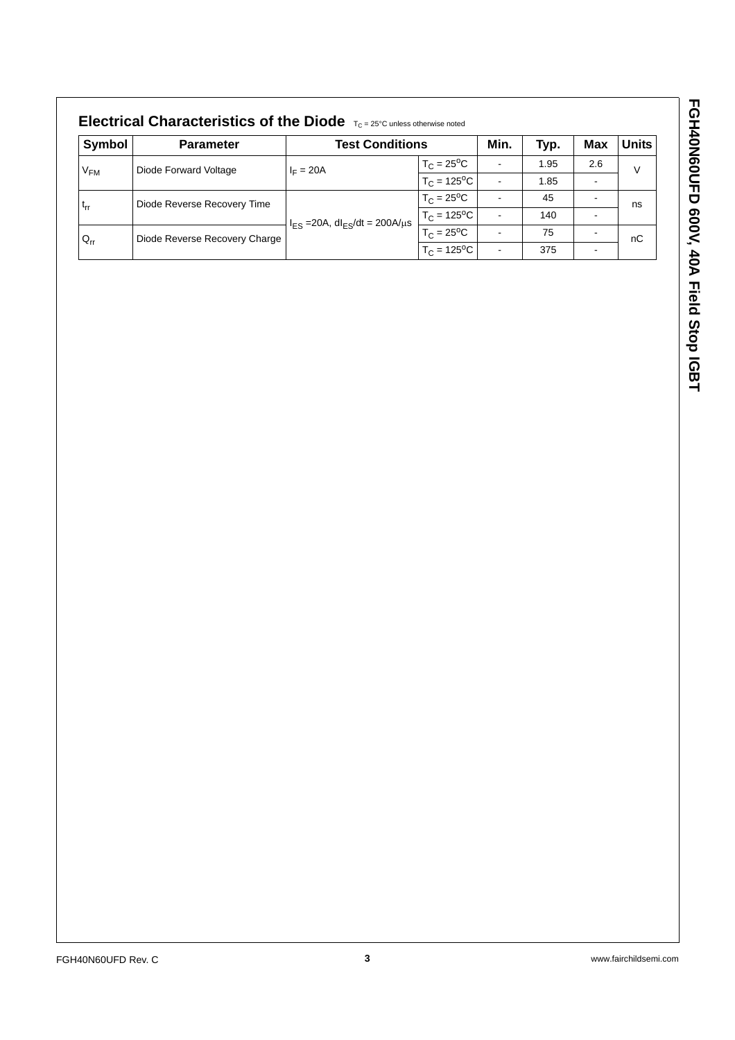| Symbol                                   | <b>Parameter</b>              | <b>Test Conditions</b>                              |                            | Min.           | Typ. | Max | <b>Units</b> |
|------------------------------------------|-------------------------------|-----------------------------------------------------|----------------------------|----------------|------|-----|--------------|
| Diode Forward Voltage<br>V <sub>FM</sub> |                               | $I_F = 20A$                                         | $T_C = 25^{\circ}C$        | $\blacksquare$ | 1.95 | 2.6 | V            |
|                                          |                               |                                                     | $T_C = 125$ <sup>o</sup> C | $\blacksquare$ | 1.85 |     |              |
| $t_{rr}$                                 | Diode Reverse Recovery Time   |                                                     | $T_C = 25^{\circ}C$        |                | 45   |     | ns           |
|                                          |                               | $I_{ES}$ =20A, dl <sub>ES</sub> /dt = 200A/ $\mu$ s | $T_C = 125^{\circ}C$       | $\blacksquare$ | 140  |     |              |
| $Q_{rr}$                                 | Diode Reverse Recovery Charge |                                                     | $T_C = 25^{\circ}C$        | ۰              | 75   |     | nC           |
|                                          |                               |                                                     | $T_C = 125$ <sup>o</sup> C | $\,$           | 375  |     |              |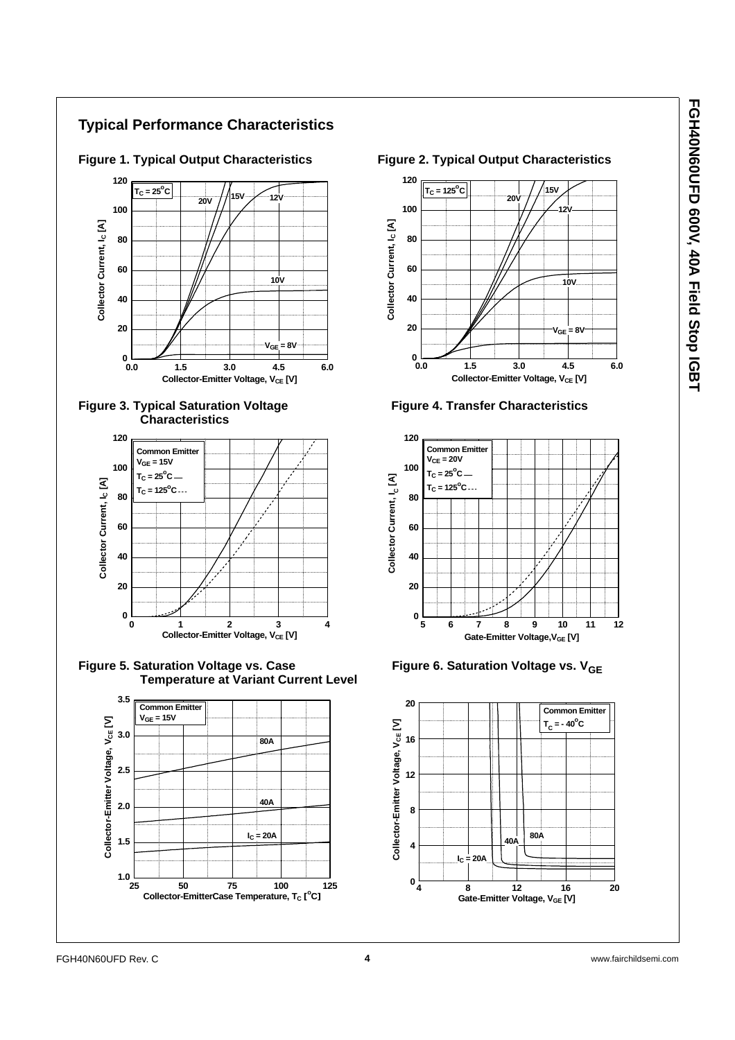### **Typical Performance Characteristics**









Figure 5. Saturation Voltage vs. Case **Figure 6. Saturation Voltage vs.** V<sub>GE</sub>  **Temperature at Variant Current Level**







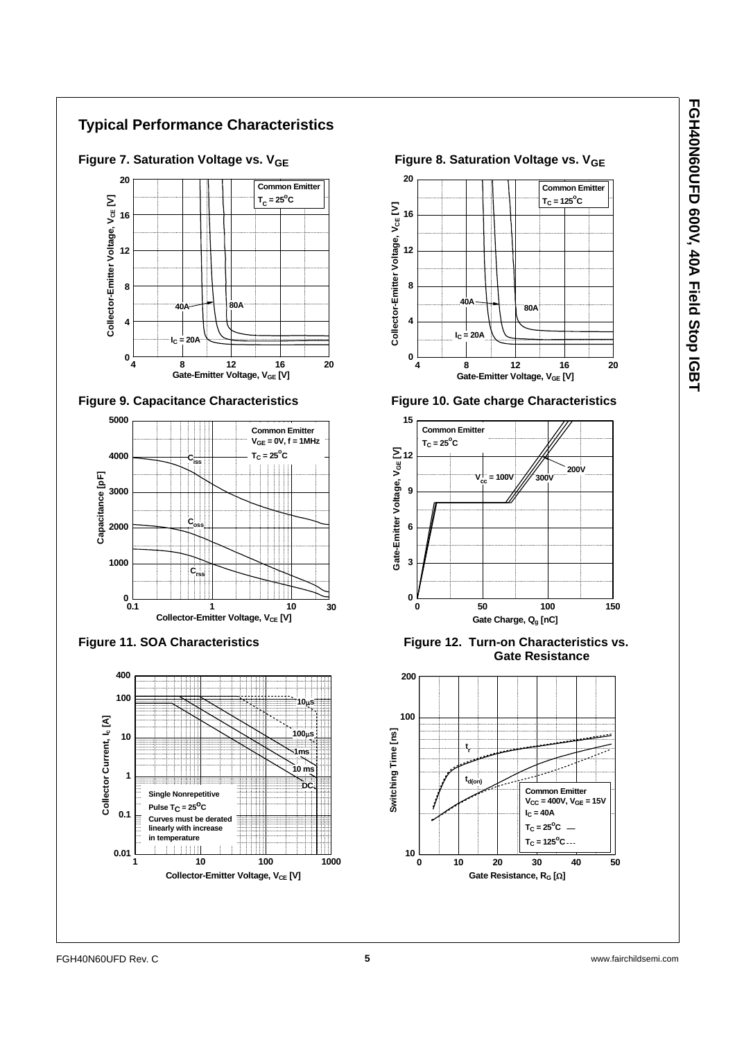### **Typical Performance Characteristics**











**Figure 9. Capacitance Characteristics Figure 10. Gate charge Characteristics**



Figure 11. SOA Characteristics **Figure 12. Turn-on Characteristics vs. Gate Resistance**

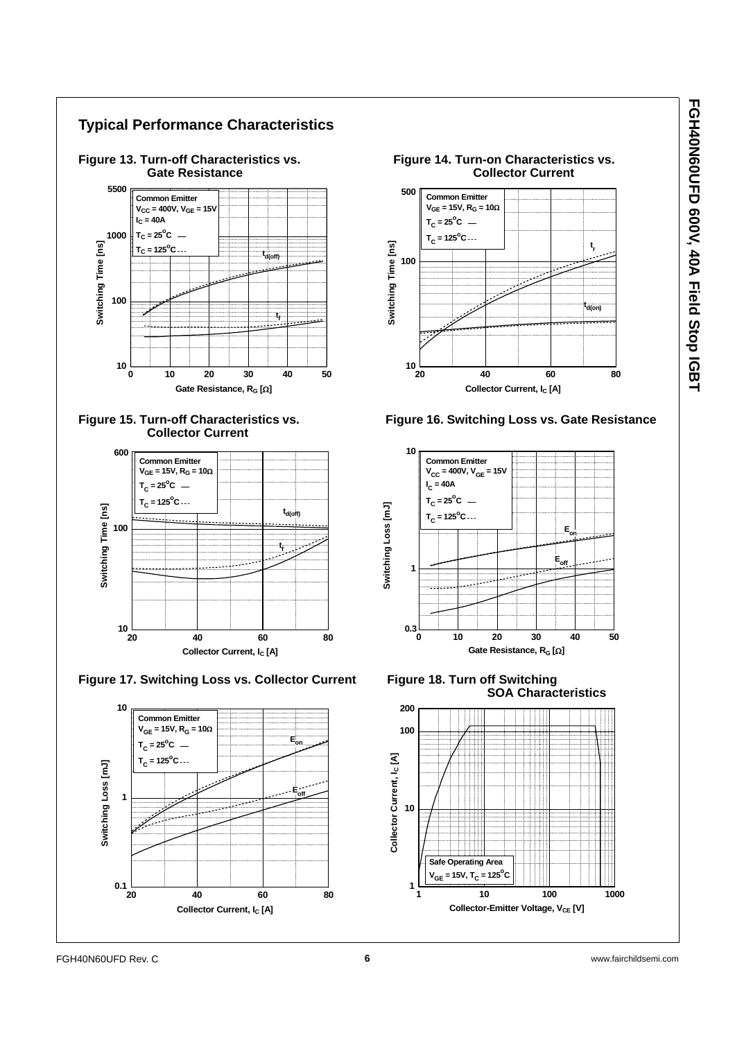







 **SOA Characteristics**



 $0.1 \perp$ <br>20

**20 40 60 80**

**Collector Current, I<sub>C</sub> [A]**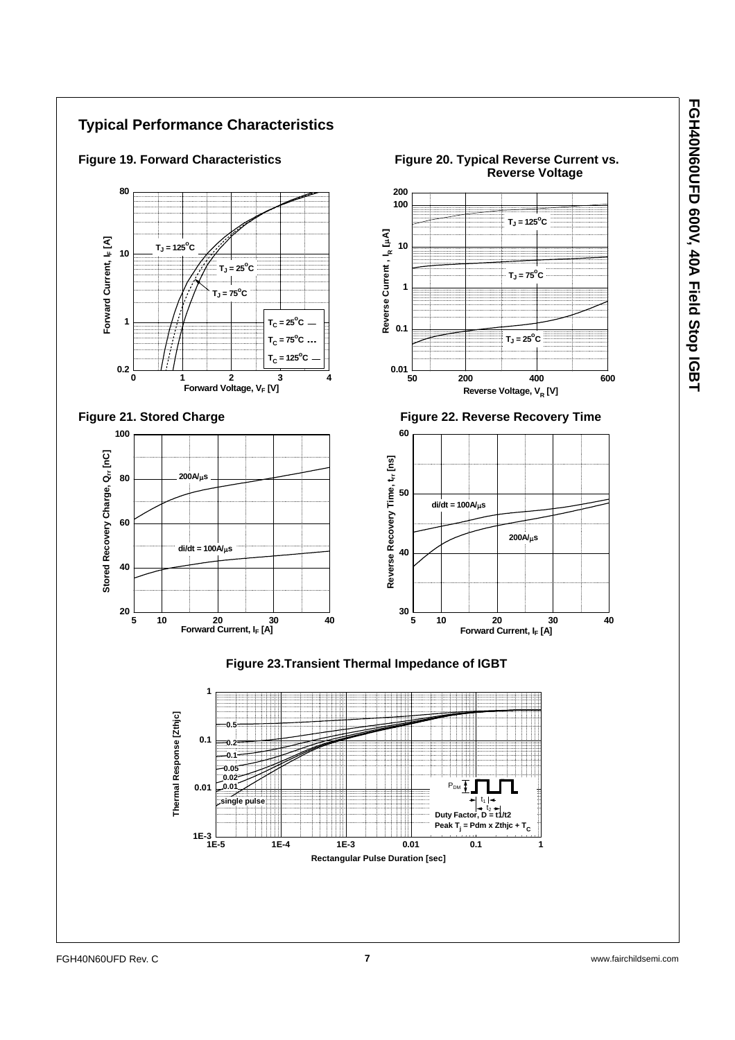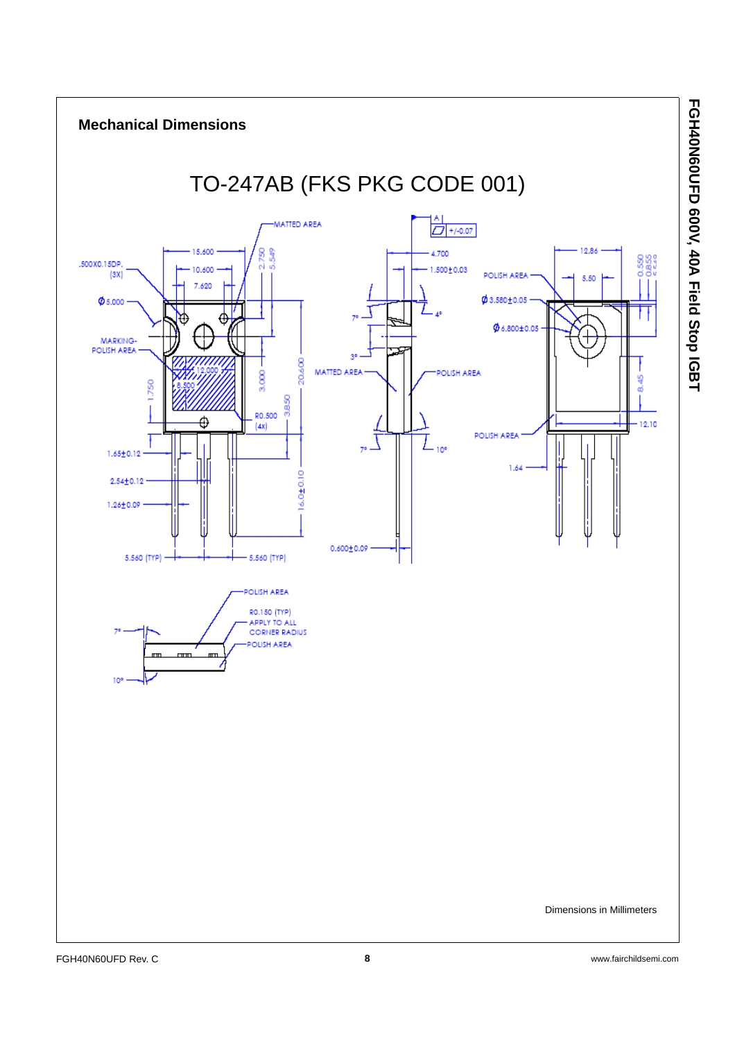